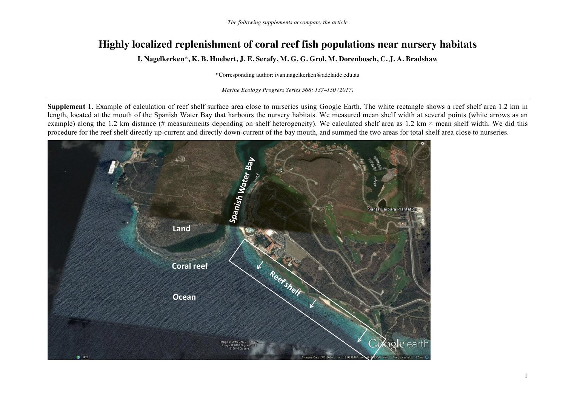## **Highly localized replenishment of coral reef fish populations near nursery habitats**

**I. Nagelkerken**\***, K. B. Huebert, J. E. Serafy, M. G. G. Grol, M. Dorenbosch, C. J. A. Bradshaw**

\*Corresponding author: ivan.nagelkerken@adelaide.edu.au

*Marine Ecology Progress Series 568: 137–150 (2017)*

**Supplement 1.** Example of calculation of reef shelf surface area close to nurseries using Google Earth. The white rectangle shows a reef shelf area 1.2 km in length, located at the mouth of the Spanish Water Bay that harbours the nursery habitats. We measured mean shelf width at several points (white arrows as an example) along the 1.2 km distance (# measurements depending on shelf heterogeneity). We calculated shelf area as 1.2 km  $\times$  mean shelf width. We did this procedure for the reef shelf directly up-current and directly down-current of the bay mouth, and summed the two areas for total shelf area close to nurseries.

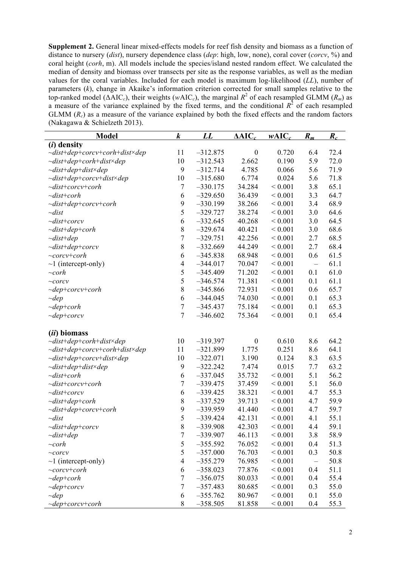**Supplement 2.** General linear mixed-effects models for reef fish density and biomass as a function of distance to nursery (*dist*), nursery dependence class (*dep*: high, low, none), coral cover (*corcv*, %) and coral height (*corh*, m). All models include the species/island nested random effect. We calculated the median of density and biomass over transects per site as the response variables, as well as the median values for the coral variables. Included for each model is maximum log-likelihood (*LL*), number of parameters (*k*), change in Akaike's information criterion corrected for small samples relative to the top-ranked model ( $\triangle AIC_c$ ), their weights ( $wAIC_c$ ), the marginal  $R^2$  of each resampled GLMM ( $R_m$ ) as a measure of the variance explained by the fixed terms, and the conditional  $R^2$  of each resampled GLMM  $(R<sub>c</sub>)$  as a measure of the variance explained by both the fixed effects and the random factors (Nakagawa & Schielzeth 2013).

| <u>Model</u>                        | $\boldsymbol{k}$ | $\bm{L}\bm{L}$ | $\triangle AIC_c$ | $wAIC_c$     | $R_m$                    | $R_c$ |
|-------------------------------------|------------------|----------------|-------------------|--------------|--------------------------|-------|
| $(i)$ density                       |                  |                |                   |              |                          |       |
| $\sim$ dist+dep+corcv+corh+dist×dep | 11               | $-312.875$     | $\boldsymbol{0}$  | 0.720        | 6.4                      | 72.4  |
| $\sim$ dist+dep+corh+dist×dep       | 10               | $-312.543$     | 2.662             | 0.190        | 5.9                      | 72.0  |
| $\sim$ dist+dep+dist×dep            | 9                | $-312.714$     | 4.785             | 0.066        | 5.6                      | 71.9  |
| $\sim$ dist+dep+corcv+dist×dep      | 10               | $-315.680$     | 6.774             | 0.024        | 5.6                      | 71.8  |
| $\sim$ dist+corcv+corh              | $\boldsymbol{7}$ | $-330.175$     | 34.284            | ${}< 0.001$  | 3.8                      | 65.1  |
| $\sim$ dist+corh                    | 6                | $-329.650$     | 36.439            | ${}< 0.001$  | 3.3                      | 64.7  |
| $\sim$ dist+dep+corcv+corh          | 9                | $-330.199$     | 38.266            | ${}< 0.001$  | 3.4                      | 68.9  |
| $\sim$ dist                         | 5                | $-329.727$     | 38.274            | ${}< 0.001$  | 3.0                      | 64.6  |
| $\sim$ dist+corcv                   | 6                | $-332.645$     | 40.268            | ${}< 0.001$  | 3.0                      | 64.5  |
| $\sim$ dist+dep+corh                | $\,$ $\,$        | $-329.674$     | 40.421            | ${}< 0.001$  | 3.0                      | 68.6  |
| $\sim$ dist+dep                     | $\overline{7}$   | $-329.751$     | 42.256            | ${}< 0.001$  | 2.7                      | 68.5  |
| $\sim$ dist+dep+corcv               | 8                | $-332.669$     | 44.249            | ${}< 0.001$  | 2.7                      | 68.4  |
| $\sim$ corcv+corh                   | 6                | $-345.838$     | 68.948            | ${}< 0.001$  | 0.6                      | 61.5  |
| $\sim$ 1 (intercept-only)           | $\overline{4}$   | $-344.017$     | 70.047            | ${}< 0.001$  | $\overline{\phantom{0}}$ | 61.1  |
| $\sim$ corh                         | 5                | $-345.409$     | 71.202            | ${}< 0.001$  | 0.1                      | 61.0  |
| $\sim$ corcv                        | 5                | $-346.574$     | 71.381            | ${}< 0.001$  | 0.1                      | 61.1  |
| $\sim$ dep+corcv+corh               | $\,$ $\,$        | $-345.866$     | 72.931            | ${}< 0.001$  | 0.6                      | 65.7  |
| $\sim$ dep                          | 6                | $-344.045$     | 74.030            | ${}< 0.001$  | 0.1                      | 65.3  |
| $\sim$ dep+corh                     | $\overline{7}$   | $-345.437$     | 75.184            | ${}< 0.001$  | 0.1                      | 65.3  |
| $\sim$ dep+corcv                    | $\boldsymbol{7}$ | $-346.602$     | 75.364            | ${}< 0.001$  | 0.1                      | 65.4  |
| <i>(ii)</i> biomass                 |                  |                |                   |              |                          |       |
| $\sim$ dist+dep+corh+dist×dep       | 10               | $-319.397$     | $\boldsymbol{0}$  | 0.610        | 8.6                      | 64.2  |
| $\sim$ dist+dep+corcv+corh+dist×dep | 11               | $-321.899$     | 1.775             | 0.251        | 8.6                      | 64.1  |
| $\sim$ dist+dep+corcv+dist×dep      | 10               | $-322.071$     | 3.190             | 0.124        | 8.3                      | 63.5  |
| $\sim$ dist+dep+dist×dep            | 9                | $-322.242$     | 7.474             | 0.015        | 7.7                      | 63.2  |
| $\sim$ dist+corh                    | 6                | $-337.045$     | 35.732            | ${}< 0.001$  | 5.1                      | 56.2  |
| $\sim$ dist+corcv+corh              | $\boldsymbol{7}$ | $-339.475$     | 37.459            | ${}< 0.001$  | 5.1                      | 56.0  |
| $\sim$ dist+corcv                   | 6                | $-339.425$     | 38.321            | ${}< 0.001$  | 4.7                      | 55.3  |
| $\sim$ dist+dep+corh                | $\,$ $\,$        | $-337.529$     | 39.713            | ${}< 0.001$  | 4.7                      | 59.9  |
| $\sim$ dist+dep+corcv+corh          | 9                | $-339.959$     | 41.440            | ${}< 0.001$  | 4.7                      | 59.7  |
| $\sim$ dist                         | 5                | $-339.424$     | 42.131            | ${}< 0.001$  | 4.1                      | 55.1  |
| $\sim$ dist+dep+corcv               | 8                | $-339.908$     | 42.303            | ${}_{0.001}$ | 4.4                      | 59.1  |
| $\sim$ dist+dep                     | 7                | $-339.907$     | 46.113            | ${}< 0.001$  | 3.8                      | 58.9  |
| $\sim$ corh                         | 5                | $-355.592$     | 76.052            | ${}< 0.001$  | 0.4                      | 51.3  |
| $\sim$ corcv                        | 5                | $-357.000$     | 76.703            | ${}< 0.001$  | 0.3                      | 50.8  |
| $\sim$ 1 (intercept-only)           | $\overline{4}$   | $-355.279$     | 76.985            | ${}< 0.001$  | $\overline{\phantom{0}}$ | 50.8  |
| $\sim$ corc $v$ +corh               | 6                | $-358.023$     | 77.876            | ${}< 0.001$  | 0.4                      | 51.1  |
| $\sim$ dep+corh                     | $\overline{7}$   | $-356.075$     | 80.033            | ${}< 0.001$  | 0.4                      | 55.4  |
| $\sim$ dep+corcv                    | $\boldsymbol{7}$ | $-357.483$     | 80.685            | ${}< 0.001$  | 0.3                      | 55.0  |
| $\sim$ dep                          | 6                | $-355.762$     | 80.967            | ${}< 0.001$  | 0.1                      | 55.0  |
| $\sim$ dep+corcv+corh               | $8\,$            | $-358.505$     | 81.858            | ${}< 0.001$  | 0.4                      | 55.3  |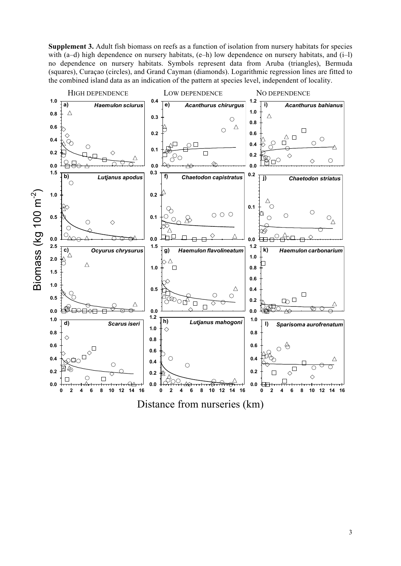with (a–d) high dependence on nursery habitats,  $(e-h)$  low dependence on nursery habitats, and  $(i-l)$ no dependence on nursery habitats. Symbols represent data from Aruba (triangles), Bermuda (squares), Curaçao (circles), and Grand Cayman (diamonds). Logarithmic regression lines are fitted to the combined island data as an indication of the pattern at species level, independent of locality.



Distance from nurseries (km)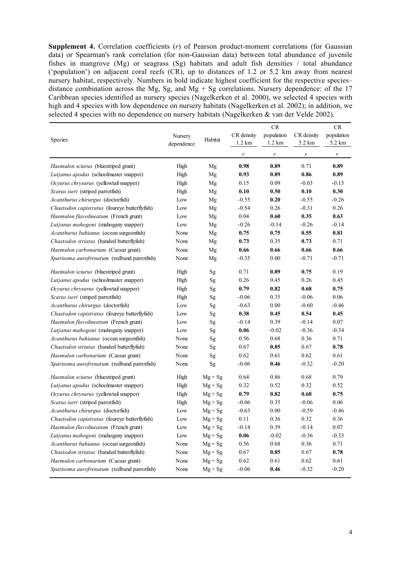**Supplement 4.** Correlation coefficients (*r*) of Pearson product-moment correlations (for Gaussian data) or Spearman's rank correlation (for non-Gaussian data) between total abundance of juvenile fishes in mangrove (Mg) or seagrass (Sg) habitats and adult fish densities / total abundance ('population') on adjacent coral reefs (CR), up to distances of 1.2 or 5.2 km away from nearest nursery habitat, respectively. Numbers in bold indicate highest coefficient for the respective species– distance combination across the Mg, Sg, and Mg  $+$  Sg correlations. Nursery dependence: of the 17 Caribbean species identified as nursery species (Nagelkerken et al. 2000), we selected 4 species with high and 4 species with low dependence on nursery habitats (Nagelkerken et al. 2002); in addition, we selected 4 species with no dependence on nursery habitats (Nagelkerken & van der Velde 2002).

|                                               | Nursery    |           | CR               |                  |            | <b>CR</b>          |
|-----------------------------------------------|------------|-----------|------------------|------------------|------------|--------------------|
|                                               |            |           | CR density       | population       | CR density | population         |
| Species                                       | dependence | Habitat   | $1.2 \text{ km}$ | 1.2 km           | 5.2 km     | $5.2\ \mathrm{km}$ |
|                                               |            |           | r                | $\boldsymbol{r}$ | r          | r                  |
| Haemulon sciurus (bluestriped grunt)          | High       | Mg        | 0.98             | 0.89             | 0.71       | 0.89               |
| Lutjanus apodus (schoolmaster snapper)        | High       | Mg        | 0.93             | 0.89             | 0.86       | 0.89               |
| Ocyurus chrysurus (yellowtail snapper)        | High       | Mg        | 0.15             | 0.09             | $-0.03$    | $-0.15$            |
| Scarus iseri (striped parrotfish)             | High       | Mg        | 0.10             | 0.50             | 0.10       | 0.30               |
| Acanthurus chirurgus (doctorfish)             | Low        | Mg        | $-0.55$          | 0.20             | $-0.55$    | $-0.26$            |
| Chaetodon capistratus (foureye butterflyfish) | Low        | Mg        | $-0.54$          | 0.26             | $-0.31$    | 0.26               |
| Haemulon flavolineatum (French grunt)         | Low        | Mg        | 0.04             | 0.60             | 0.35       | 0.63               |
| Lutjanus mahogoni (mahogany snapper)          | Low        | Mg        | $-0.26$          | $-0.14$          | $-0.26$    | $-0.14$            |
| Acanthurus bahianus (ocean surgeonfish)       | None       | Mg        | 0.75             | 0.75             | 0.55       | 0.81               |
| Chaetodon striatus (banded butterflyfish)     | None       | Mg        | 0.73             | 0.35             | 0.73       | 0.71               |
| Haemulon carbonarium (Caesar grunt)           | None       | Mg        | 0.66             | 0.66             | 0.66       | 0.66               |
| Sparisoma aurofrenatum (redband parrotfish)   | None       | Mg        | $-0.35$          | 0.00             | $-0.71$    | $-0.71$            |
|                                               |            |           |                  |                  |            |                    |
| Haemulon sciurus (bluestriped grunt)          | High       | Sg        | 0.71             | 0.89             | 0.75       | 0.19               |
| Lutjanus apodus (schoolmaster snapper)        | High       | Sg        | 0.26             | 0.45             | 0.26       | 0.45               |
| Ocyurus chrysurus (yellowtail snapper)        | High       | Sg        | 0.79             | 0.82             | 0.68       | 0.75               |
| Scarus iseri (striped parrotfish)             | High       | Sg        | $-0.06$          | 0.35             | $-0.06$    | 0.06               |
| Acanthurus chirurgus (doctorfish)             | Low        | Sg        | $-0.63$          | 0.00             | $-0.60$    | $-0.46$            |
| Chaetodon capistratus (foureye butterflyfish) | Low        | Sg        | 0.38             | 0.45             | 0.54       | 0.45               |
| Haemulon flavolineatum (French grunt)         | Low        | Sg        | $-0.14$          | 0.39             | $-0.14$    | 0.07               |
| Lutjanus mahogoni (mahogany snapper)          | Low        | Sg        | 0.06             | $-0.02$          | $-0.36$    | $-0.34$            |
| Acanthurus bahianus (ocean surgeonfish)       | None       | Sg        | 0.56             | 0.68             | 0.36       | 0.71               |
| Chaetodon striatus (banded butterflyfish)     | None       | Sg        | 0.67             | 0.85             | 0.67       | 0.78               |
| Haemulon carbonarium (Caesar grunt)           | None       | Sg        | 0.62             | 0.61             | 0.62       | 0.61               |
| Sparisoma aurofrenatum (redband parrotfish)   | None       | Sg        | $-0.06$          | 0.46             | $-0.32$    | $-0.20$            |
| Haemulon sciurus (bluestriped grunt)          | High       | $Mg + Sg$ | 0.64             | 0.86             | 0.68       | 0.79               |
| Lutjanus apodus (schoolmaster snapper)        | High       | $Mg + Sg$ | 0.32             | 0.52             | 0.32       | 0.52               |
| Ocyurus chrysurus (yellowtail snapper)        | High       | $Mg + Sg$ | 0.79             | 0.82             | 0.68       | 0.75               |
| Scarus iseri (striped parrotfish)             | High       | $Mg + Sg$ | $-0.06$          | 0.35             | $-0.06$    | 0.06               |
| Acanthurus chirurgus (doctorfish)             | Low        | $Mg + Sg$ | $-0.63$          | $0.00\,$         | $-0.59$    | $-0.46$            |
| Chaetodon capistratus (foureye butterflyfish) | Low        | $Mg + Sg$ | 0.11             | 0.36             | 0.32       | 0.36               |
| Haemulon flavolineatum (French grunt)         | Low        | $Mg + Sg$ | $-0.14$          | 0.39             | $-0.14$    | $0.07\,$           |
| Lutjanus mahogoni (mahogany snapper)          | Low        | $Mg + Sg$ | $0.06\,$         | $-0.02$          | $-0.36$    | $-0.33$            |
| Acanthurus bahianus (ocean surgeonfish)       | None       | $Mg + Sg$ | 0.56             | 0.68             | 0.36       | 0.71               |
| Chaetodon striatus (banded butterflyfish)     | None       | $Mg + Sg$ | 0.67             | 0.85             | 0.67       | 0.78               |
| Haemulon carbonarium (Caesar grunt)           | None       | $Mg + Sg$ | 0.62             | 0.61             | 0.62       | 0.61               |
| Sparisoma aurofrenatum (redband parrotfish)   | None       | $Mg + Sg$ | $-0.06$          | 0.46             | $-0.32$    | $-0.20$            |
|                                               |            |           |                  |                  |            |                    |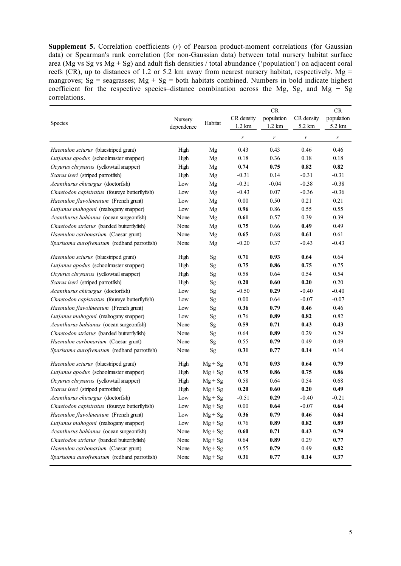**Supplement 5.** Correlation coefficients (*r*) of Pearson product-moment correlations (for Gaussian data) or Spearman's rank correlation (for non-Gaussian data) between total nursery habitat surface area (Mg vs Sg vs Mg + Sg) and adult fish densities / total abundance ('population') on adjacent coral reefs (CR), up to distances of 1.2 or 5.2 km away from nearest nursery habitat, respectively. Mg = mangroves;  $S_g$  = seagrasses; Mg + Sg = both habitats combined. Numbers in bold indicate highest coefficient for the respective species–distance combination across the Mg, Sg, and Mg + Sg correlations.

|                                               | Nursery    |               | <b>CR</b>        |                  |            | CR         |
|-----------------------------------------------|------------|---------------|------------------|------------------|------------|------------|
|                                               |            |               | CR density       | population       | CR density | population |
| Species                                       | dependence | Habitat       | $1.2 \text{ km}$ | $1.2 \text{ km}$ | 5.2 km     | 5.2 km     |
|                                               |            |               | r                | $\boldsymbol{r}$ | r          | r          |
| Haemulon sciurus (bluestriped grunt)          | High       | Mg            | 0.43             | 0.43             | 0.46       | 0.46       |
| Lutjanus apodus (schoolmaster snapper)        | High       | Mg            | 0.18             | 0.36             | 0.18       | 0.18       |
| Ocyurus chrysurus (yellowtail snapper)        | High       | Mg            | 0.74             | 0.75             | 0.82       | 0.82       |
| Scarus iseri (striped parrotfish)             | High       | Mg            | $-0.31$          | 0.14             | $-0.31$    | $-0.31$    |
| Acanthurus chirurgus (doctorfish)             | Low        | Mg            | $-0.31$          | $-0.04$          | $-0.38$    | $-0.38$    |
| Chaetodon capistratus (foureye butterflyfish) | Low        | Mg            | $-0.43$          | 0.07             | $-0.36$    | $-0.36$    |
| Haemulon flavolineatum (French grunt)         | Low        | Mg            | 0.00             | 0.50             | 0.21       | 0.21       |
| Lutjanus mahogoni (mahogany snapper)          | Low        | Mg            | 0.96             | 0.86             | 0.55       | 0.55       |
| Acanthurus bahianus (ocean surgeonfish)       | None       | Mg            | 0.61             | 0.57             | 0.39       | 0.39       |
| Chaetodon striatus (banded butterflyfish)     | None       | Mg            | 0.75             | 0.66             | 0.49       | 0.49       |
| Haemulon carbonarium (Caesar grunt)           | None       | Mg            | 0.65             | 0.68             | 0.61       | 0.61       |
| Sparisoma aurofrenatum (redband parrotfish)   | None       | Mg            | $-0.20$          | 0.37             | $-0.43$    | $-0.43$    |
| Haemulon sciurus (bluestriped grunt)          | High       | $\mathrm{Sg}$ | 0.71             | 0.93             | 0.64       | 0.64       |
| Lutjanus apodus (schoolmaster snapper)        | High       | Sg            | 0.75             | 0.86             | 0.75       | 0.75       |
| Ocyurus chrysurus (yellowtail snapper)        | High       | Sg            | 0.58             | 0.64             | 0.54       | 0.54       |
| Scarus iseri (striped parrotfish)             | High       | Sg            | 0.20             | 0.60             | 0.20       | 0.20       |
| Acanthurus chirurgus (doctorfish)             | Low        | Sg            | $-0.50$          | 0.29             | $-0.40$    | $-0.40$    |
| Chaetodon capistratus (foureye butterflyfish) | Low        | Sg            | 0.00             | 0.64             | $-0.07$    | $-0.07$    |
| Haemulon flavolineatum (French grunt)         | Low        | Sg            | 0.36             | 0.79             | 0.46       | 0.46       |
| Lutjanus mahogoni (mahogany snapper)          | Low        | Sg            | 0.76             | 0.89             | 0.82       | 0.82       |
| Acanthurus bahianus (ocean surgeonfish)       | None       | Sg            | 0.59             | 0.71             | 0.43       | 0.43       |
| Chaetodon striatus (banded butterflyfish)     | None       | Sg            | 0.64             | 0.89             | 0.29       | 0.29       |
| Haemulon carbonarium (Caesar grunt)           | None       | Sg            | 0.55             | 0.79             | 0.49       | 0.49       |
| Sparisoma aurofrenatum (redband parrotfish)   | None       | Sg            | 0.31             | 0.77             | 0.14       | 0.14       |
| Haemulon sciurus (bluestriped grunt)          | High       | $Mg + Sg$     | 0.71             | 0.93             | 0.64       | 0.79       |
| Lutjanus apodus (schoolmaster snapper)        | High       | $Mg + Sg$     | 0.75             | 0.86             | 0.75       | 0.86       |
| Ocyurus chrysurus (yellowtail snapper)        | High       | $Mg + Sg$     | 0.58             | 0.64             | 0.54       | 0.68       |
| Scarus iseri (striped parrotfish)             | High       | $Mg + Sg$     | 0.20             | 0.60             | 0.20       | 0.49       |
| Acanthurus chirurgus (doctorfish)             | Low        | $Mg + Sg$     | $-0.51$          | 0.29             | $-0.40$    | $-0.21$    |
| Chaetodon capistratus (foureye butterflyfish) | Low        | $Mg + Sg$     | $0.00\,$         | 0.64             | $-0.07$    | 0.64       |
| Haemulon flavolineatum (French grunt)         | Low        | $Mg + Sg$     | 0.36             | 0.79             | 0.46       | 0.64       |
| Lutjanus mahogoni (mahogany snapper)          | Low        | $Mg + Sg$     | 0.76             | 0.89             | 0.82       | 0.89       |
| Acanthurus bahianus (ocean surgeonfish)       | None       | $Mg + Sg$     | $0.60\,$         | 0.71             | 0.43       | 0.79       |
| Chaetodon striatus (banded butterflyfish)     | None       | $Mg + Sg$     | 0.64             | 0.89             | 0.29       | 0.77       |
| Haemulon carbonarium (Caesar grunt)           | None       | $Mg + Sg$     | 0.55             | 0.79             | 0.49       | 0.82       |
| Sparisoma aurofrenatum (redband parrotfish)   | None       | $Mg + Sg$     | 0.31             | 0.77             | 0.14       | 0.37       |